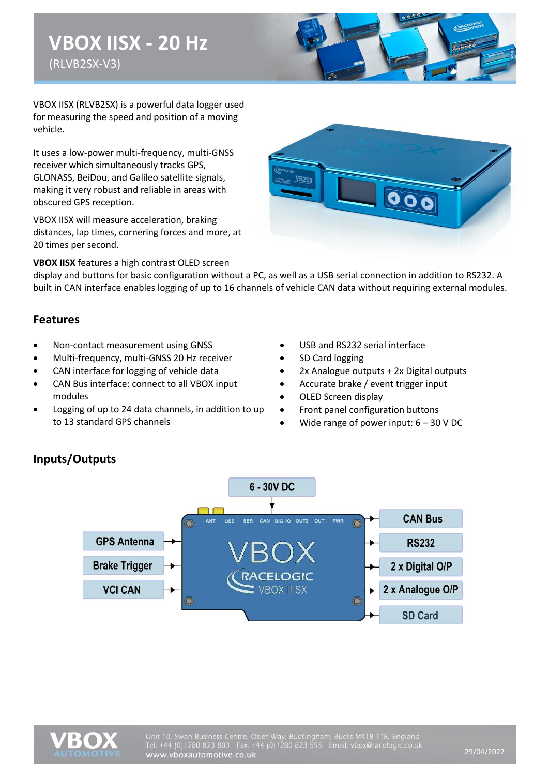# **VBOX IISX - 20 Hz** (RLVB2SX-V3)



VBOX IISX (RLVB2SX) is a powerful data logger used for measuring the speed and position of a moving vehicle.

It uses a low-power multi-frequency, multi-GNSS receiver which simultaneously tracks GPS, GLONASS, BeiDou, and Galileo satellite signals, making it very robust and reliable in areas with obscured GPS reception.

VBOX IISX will measure acceleration, braking distances, lap times, cornering forces and more, at 20 times per second.

**VBOX IISX** features a high contrast OLED screen



display and buttons for basic configuration without a PC, as well as a USB serial connection in addition to RS232. A built in CAN interface enables logging of up to 16 channels of vehicle CAN data without requiring external modules.

#### **Features**

- Non-contact measurement using GNSS
- Multi-frequency, multi-GNSS 20 Hz receiver
- CAN interface for logging of vehicle data
- CAN Bus interface: connect to all VBOX input modules
- Logging of up to 24 data channels, in addition to up to 13 standard GPS channels
- USB and RS232 serial interface
- SD Card logging
- 2x Analogue outputs + 2x Digital outputs
- Accurate brake / event trigger input
- OLED Screen display
- Front panel configuration buttons
- Wide range of power input:  $6 30$  V DC



#### **Inputs/Outputs**

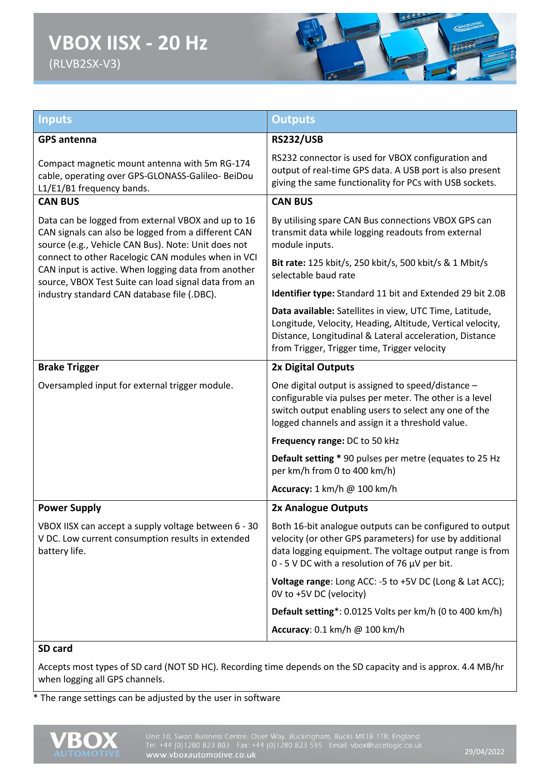# **VBOX IISX - 20 Hz** (RLVB2SX-V3)



| <b>Inputs</b>                                                                                                                                                     | <b>Outputs</b>                                                                                                                                                                                                                          |  |
|-------------------------------------------------------------------------------------------------------------------------------------------------------------------|-----------------------------------------------------------------------------------------------------------------------------------------------------------------------------------------------------------------------------------------|--|
| <b>GPS</b> antenna                                                                                                                                                | <b>RS232/USB</b>                                                                                                                                                                                                                        |  |
| Compact magnetic mount antenna with 5m RG-174<br>cable, operating over GPS-GLONASS-Galileo- BeiDou<br>L1/E1/B1 frequency bands.                                   | RS232 connector is used for VBOX configuration and<br>output of real-time GPS data. A USB port is also present<br>giving the same functionality for PCs with USB sockets.                                                               |  |
| <b>CAN BUS</b>                                                                                                                                                    | <b>CAN BUS</b>                                                                                                                                                                                                                          |  |
| Data can be logged from external VBOX and up to 16<br>CAN signals can also be logged from a different CAN<br>source (e.g., Vehicle CAN Bus). Note: Unit does not  | By utilising spare CAN Bus connections VBOX GPS can<br>transmit data while logging readouts from external<br>module inputs.                                                                                                             |  |
| connect to other Racelogic CAN modules when in VCI<br>CAN input is active. When logging data from another<br>source, VBOX Test Suite can load signal data from an | Bit rate: 125 kbit/s, 250 kbit/s, 500 kbit/s & 1 Mbit/s<br>selectable baud rate                                                                                                                                                         |  |
| industry standard CAN database file (.DBC).                                                                                                                       | Identifier type: Standard 11 bit and Extended 29 bit 2.0B                                                                                                                                                                               |  |
|                                                                                                                                                                   | Data available: Satellites in view, UTC Time, Latitude,<br>Longitude, Velocity, Heading, Altitude, Vertical velocity,<br>Distance, Longitudinal & Lateral acceleration, Distance<br>from Trigger, Trigger time, Trigger velocity        |  |
| <b>Brake Trigger</b>                                                                                                                                              | 2x Digital Outputs                                                                                                                                                                                                                      |  |
| Oversampled input for external trigger module.                                                                                                                    | One digital output is assigned to speed/distance -<br>configurable via pulses per meter. The other is a level<br>switch output enabling users to select any one of the<br>logged channels and assign it a threshold value.              |  |
|                                                                                                                                                                   | Frequency range: DC to 50 kHz                                                                                                                                                                                                           |  |
|                                                                                                                                                                   | Default setting * 90 pulses per metre (equates to 25 Hz<br>per km/h from 0 to 400 km/h)                                                                                                                                                 |  |
|                                                                                                                                                                   | Accuracy: 1 km/h @ 100 km/h                                                                                                                                                                                                             |  |
| <b>Power Supply</b>                                                                                                                                               | 2x Analogue Outputs                                                                                                                                                                                                                     |  |
| VBOX IISX can accept a supply voltage between 6 - 30<br>V DC. Low current consumption results in extended<br>battery life.                                        | Both 16-bit analogue outputs can be configured to output<br>velocity (or other GPS parameters) for use by additional<br>data logging equipment. The voltage output range is from<br>0 - 5 V DC with a resolution of 76 $\mu$ V per bit. |  |
|                                                                                                                                                                   | Voltage range: Long ACC: -5 to +5V DC (Long & Lat ACC);<br>OV to +5V DC (velocity)                                                                                                                                                      |  |
|                                                                                                                                                                   | Default setting*: 0.0125 Volts per km/h (0 to 400 km/h)                                                                                                                                                                                 |  |
|                                                                                                                                                                   | Accuracy: 0.1 km/h @ 100 km/h                                                                                                                                                                                                           |  |
| SD card                                                                                                                                                           |                                                                                                                                                                                                                                         |  |

Accepts most types of SD card (NOT SD HC). Recording time depends on the SD capacity and is approx. 4.4 MB/hr when logging all GPS channels.

\* The range settings can be adjusted by the user in software

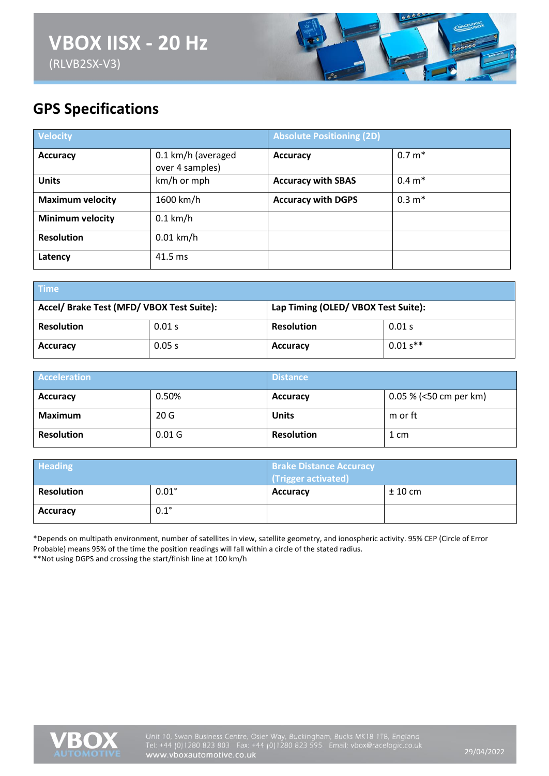

## **GPS Specifications**

| <b>Velocity</b>         |                                       | <b>Absolute Positioning (2D)</b> |          |
|-------------------------|---------------------------------------|----------------------------------|----------|
| <b>Accuracy</b>         | 0.1 km/h (averaged<br>over 4 samples) | <b>Accuracy</b>                  | $0.7 m*$ |
| <b>Units</b>            | km/h or mph                           | <b>Accuracy with SBAS</b>        | $0.4 m*$ |
| <b>Maximum velocity</b> | 1600 km/h                             | <b>Accuracy with DGPS</b>        | $0.3 m*$ |
| <b>Minimum velocity</b> | $0.1$ km/h                            |                                  |          |
| <b>Resolution</b>       | $0.01$ km/h                           |                                  |          |
| Latency                 | 41.5 ms                               |                                  |          |

| <b>Time</b>                               |        |                                     |           |
|-------------------------------------------|--------|-------------------------------------|-----------|
| Accel/ Brake Test (MFD/ VBOX Test Suite): |        | Lap Timing (OLED/ VBOX Test Suite): |           |
| <b>Resolution</b>                         | 0.01 s | <b>Resolution</b>                   | 0.01 s    |
| <b>Accuracy</b>                           | 0.05 s | <b>Accuracy</b>                     | $0.01s**$ |

| <b>Acceleration</b> |                   | <b>Distance</b>   |                          |
|---------------------|-------------------|-------------------|--------------------------|
| <b>Accuracy</b>     | 0.50%             | <b>Accuracy</b>   | $0.05\%$ (<50 cm per km) |
| Maximum             | 20G               | <b>Units</b>      | m or ft                  |
| <b>Resolution</b>   | 0.01 <sub>G</sub> | <b>Resolution</b> | 1 cm                     |

| <b>Heading</b>    |              | <b>Brake Distance Accuracy</b><br>(Trigger activated) |           |
|-------------------|--------------|-------------------------------------------------------|-----------|
| <b>Resolution</b> | $0.01^\circ$ | <b>Accuracy</b>                                       | $± 10$ cm |
| <b>Accuracy</b>   | $0.1^\circ$  |                                                       |           |

\*Depends on multipath environment, number of satellites in view, satellite geometry, and ionospheric activity. 95% CEP (Circle of Error Probable) means 95% of the time the position readings will fall within a circle of the stated radius. \*\*Not using DGPS and crossing the start/finish line at 100 km/h